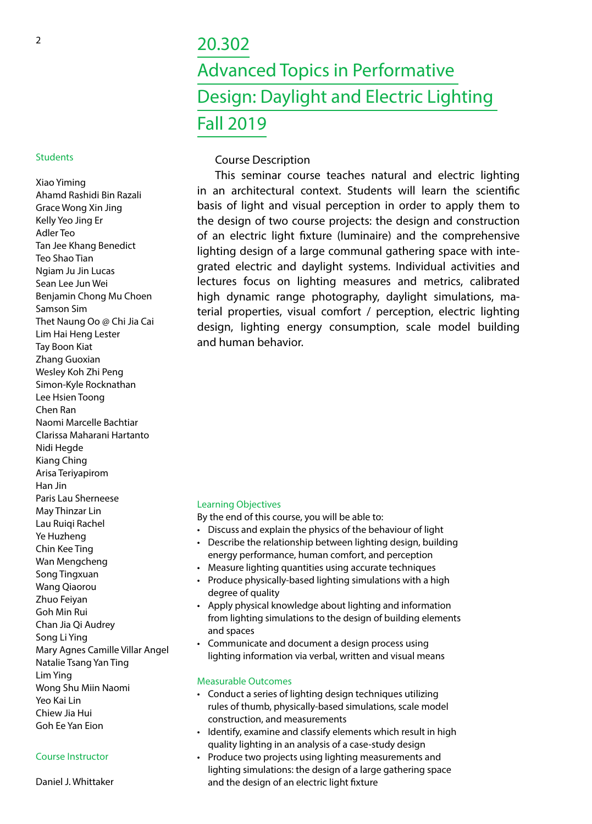# <sup>2</sup> 20.302 Advanced Topics in Performative Design: Daylight and Electric Lighting Fall 2019

# Course Description

This seminar course teaches natural and electric lighting in an architectural context. Students will learn the scientific basis of light and visual perception in order to apply them to the design of two course projects: the design and construction of an electric light fixture (luminaire) and the comprehensive lighting design of a large communal gathering space with integrated electric and daylight systems. Individual activities and lectures focus on lighting measures and metrics, calibrated high dynamic range photography, daylight simulations, material properties, visual comfort / perception, electric lighting design, lighting energy consumption, scale model building and human behavior.

#### Learning Objectives

By the end of this course, you will be able to:

- Discuss and explain the physics of the behaviour of light
- Describe the relationship between lighting design, building energy performance, human comfort, and perception
- Measure lighting quantities using accurate techniques
- Produce physically-based lighting simulations with a high degree of quality
- Apply physical knowledge about lighting and information from lighting simulations to the design of building elements and spaces
- Communicate and document a design process using lighting information via verbal, written and visual means

## Measurable Outcomes

- Conduct a series of lighting design techniques utilizing rules of thumb, physically-based simulations, scale model construction, and measurements
- Identify, examine and classify elements which result in high quality lighting in an analysis of a case-study design
- Produce two projects using lighting measurements and lighting simulations: the design of a large gathering space and the design of an electric light fixture

#### **Students**

Xiao Yiming Ahamd Rashidi Bin Razali Grace Wong Xin Jing Kelly Yeo Jing Er Adler Teo Tan Jee Khang Benedict Teo Shao Tian Ngiam Ju Jin Lucas Sean Lee Jun Wei Benjamin Chong Mu Choen Samson Sim Thet Naung Oo @ Chi Jia Cai Lim Hai Heng Lester Tay Boon Kiat Zhang Guoxian Wesley Koh Zhi Peng Simon-Kyle Rocknathan Lee Hsien Toong Chen Ran Naomi Marcelle Bachtiar Clarissa Maharani Hartanto Nidi Hegde Kiang Ching Arisa Teriyapirom Han Jin Paris Lau Sherneese May Thinzar Lin Lau Ruiqi Rachel Ye Huzheng Chin Kee Ting Wan Mengcheng Song Tingxuan Wang Qiaorou Zhuo Feiyan Goh Min Rui Chan Jia Qi Audrey Song Li Ying Mary Agnes Camille Villar Angel Natalie Tsang Yan Ting Lim Ying Wong Shu Miin Naomi Yeo Kai Lin Chiew Jia Hui Goh Ee Yan Eion

Daniel J. Whittaker

Course Instructor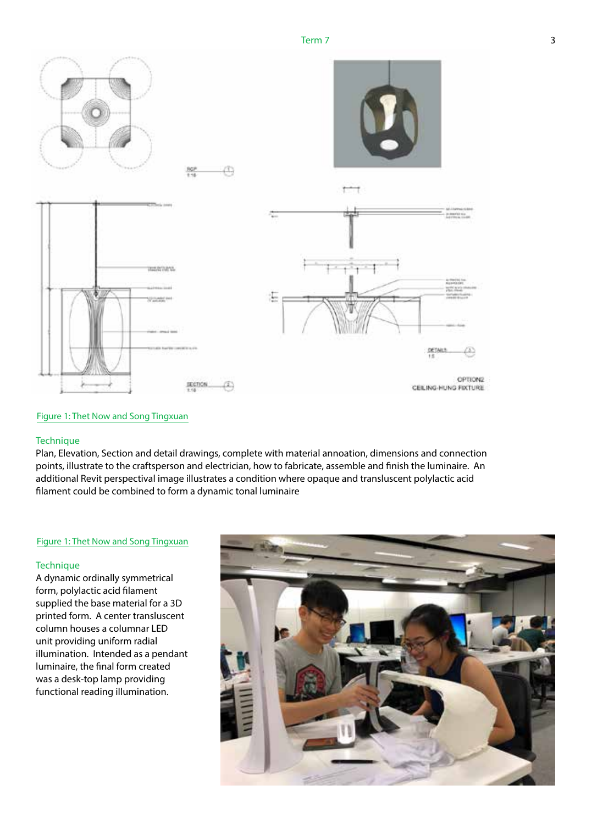

#### Figure 1: Thet Now and Song Tingxuan

#### **Technique**

Plan, Elevation, Section and detail drawings, complete with material annoation, dimensions and connection points, illustrate to the craftsperson and electrician, how to fabricate, assemble and finish the luminaire. An additional Revit perspectival image illustrates a condition where opaque and transluscent polylactic acid filament could be combined to form a dynamic tonal luminaire

#### Figure 1: Thet Now and Song Tingxuan

#### **Technique**

A dynamic ordinally symmetrical form, polylactic acid filament supplied the base material for a 3D printed form. A center transluscent column houses a columnar LED unit providing uniform radial illumination. Intended as a pendant luminaire, the final form created was a desk-top lamp providing functional reading illumination.

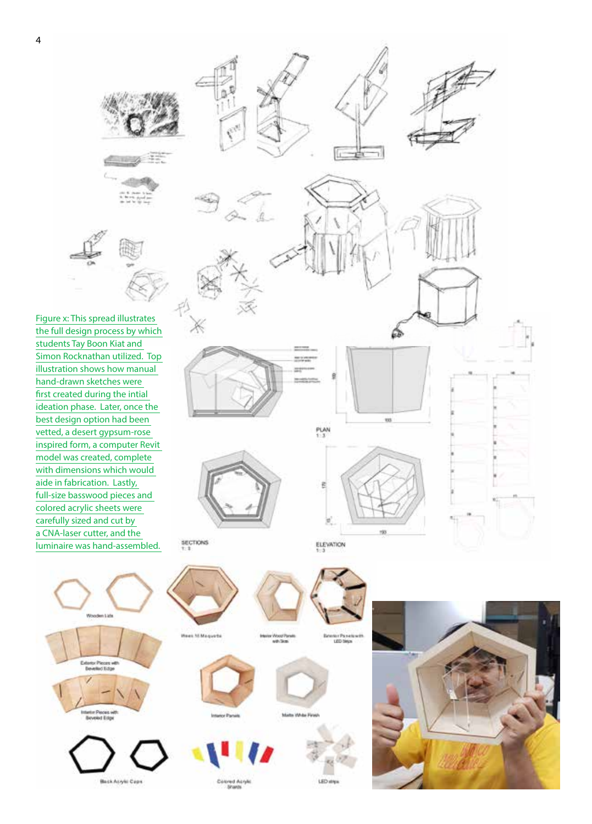





Figure x: This spread illustrates the full design process by which students Tay Boon Kiat and Simon Rocknathan utilized. Top illustration shows how manual hand-drawn sketches were first created during the intial ideation phase. Later, once the best design option had been vetted, a desert gypsum-rose inspired form, a computer Revit model was created, complete with dimensions which would aide in fabrication. Lastly, full-size basswood pieces and colored acrylic sheets were carefully sized and cut by a CNA-laser cutter, and the luminaire was hand-assembled.



PLAN

Ω

13

ŵ



SECTIONS

Ë

ELEVATION



owd As<br>Sharos

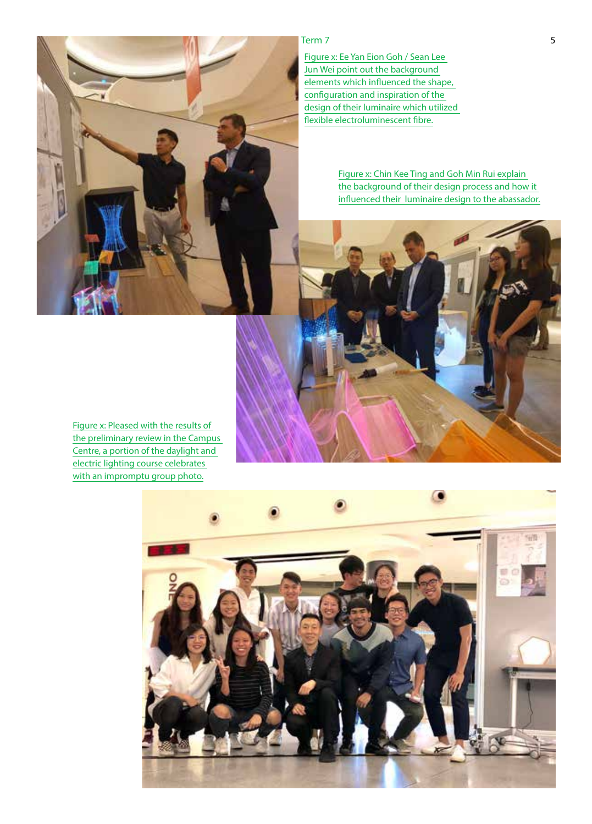# $Term 7$

Figure x: Ee Yan Eion Goh / Sean Lee Jun Wei point out the background elements which influenced the shape, configuration and inspiration of the design of their luminaire which utilized flexible electroluminescent fibre.

> Figure x: Chin Kee Ting and Goh Min Rui explain the background of their design process and how it influenced their luminaire design to the abassador.



Figure x: Pleased with the results of the preliminary review in the Campus Centre, a portion of the daylight and electric lighting course celebrates with an impromptu group photo.

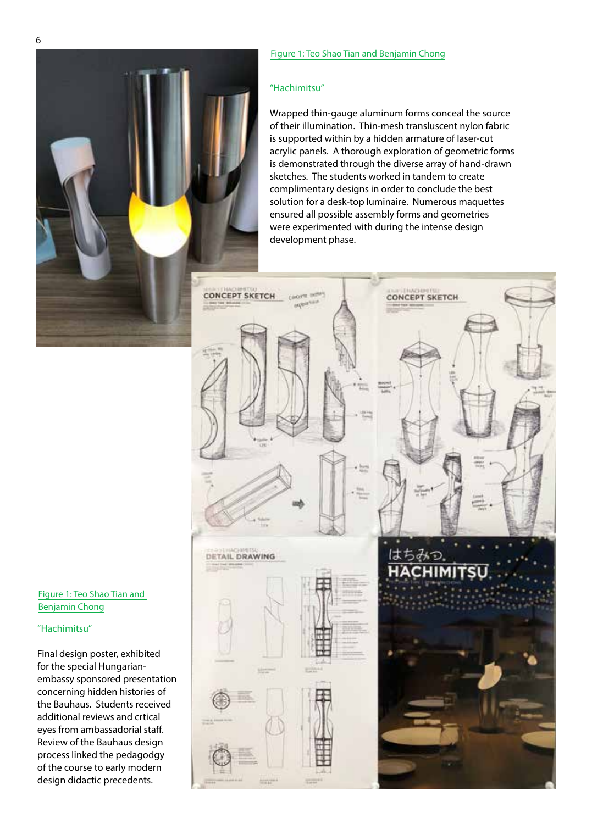#### Figure 1: Teo Shao Tian and Benjamin Chong

#### "Hachimitsu"

Wrapped thin-gauge aluminum forms conceal the source of their illumination. Thin-mesh transluscent nylon fabric is supported within by a hidden armature of laser-cut acrylic panels. A thorough exploration of geometric forms is demonstrated through the diverse array of hand-drawn sketches. The students worked in tandem to create complimentary designs in order to conclude the best solution for a desk-top luminaire. Numerous maquettes ensured all possible assembly forms and geometries were experimented with during the intense design development phase.



Figure 1: Teo Shao Tian and Benjamin Chong

### "Hachimitsu"

Final design poster, exhibited for the special Hungarianembassy sponsored presentation concerning hidden histories of the Bauhaus. Students received additional reviews and crtical eyes from ambassadorial staff. Review of the Bauhaus design process linked the pedagodgy of the course to early modern design didactic precedents.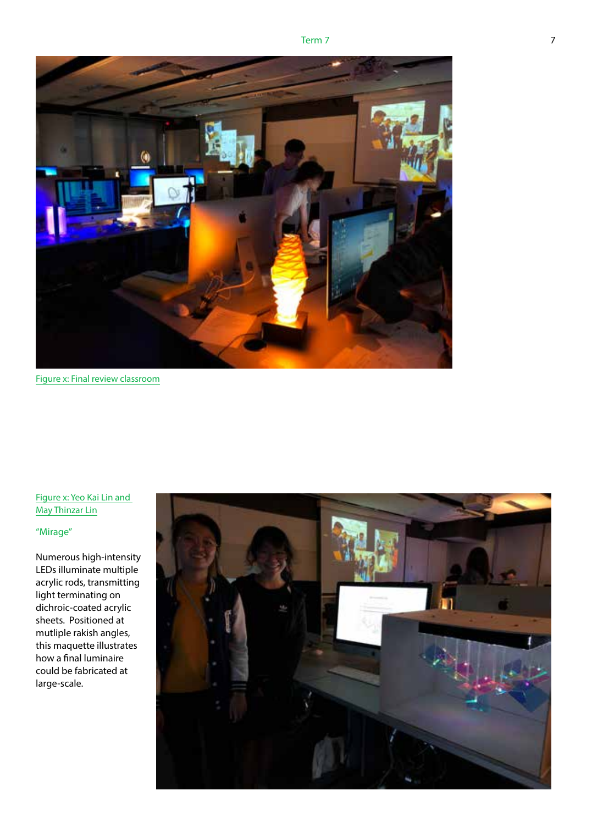



Figure x: Final review classroom

# Figure x: Yeo Kai Lin and May Thinzar Lin

# "Mirage"

Numerous high-intensity LEDs illuminate multiple acrylic rods, transmitting light terminating on dichroic-coated acrylic sheets. Positioned at mutliple rakish angles, this maquette illustrates how a final luminaire could be fabricated at large-scale.

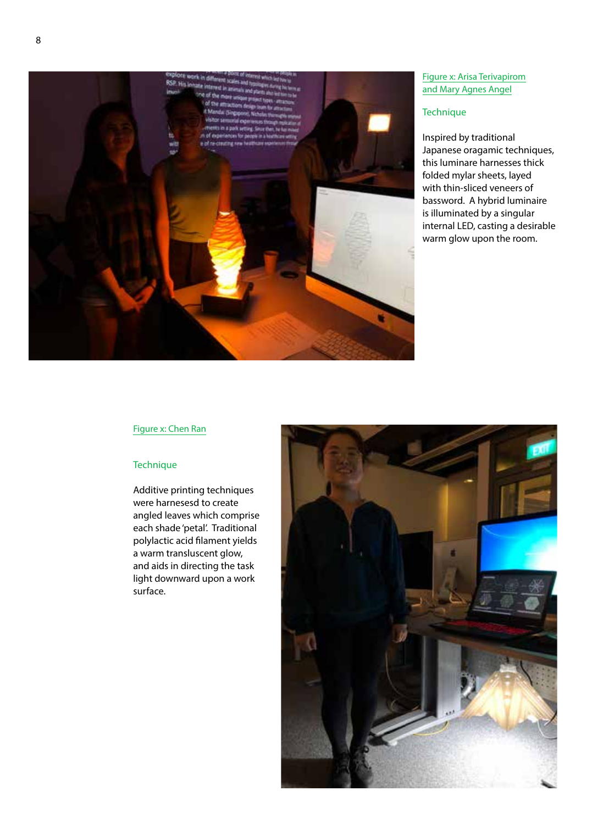

# Figure x: Arisa Terivapirom and Mary Agnes Angel

#### **Technique**

Inspired by traditional Japanese oragamic techniques, this luminare harnesses thick folded mylar sheets, layed with thin-sliced veneers of bassword. A hybrid luminaire is illuminated by a singular internal LED, casting a desirable warm glow upon the room.

# Figure x: Chen Ran

#### **Technique**

Additive printing techniques were harnesesd to create angled leaves which comprise each shade 'petal'. Traditional polylactic acid filament yields a warm transluscent glow, and aids in directing the task light downward upon a work surface.

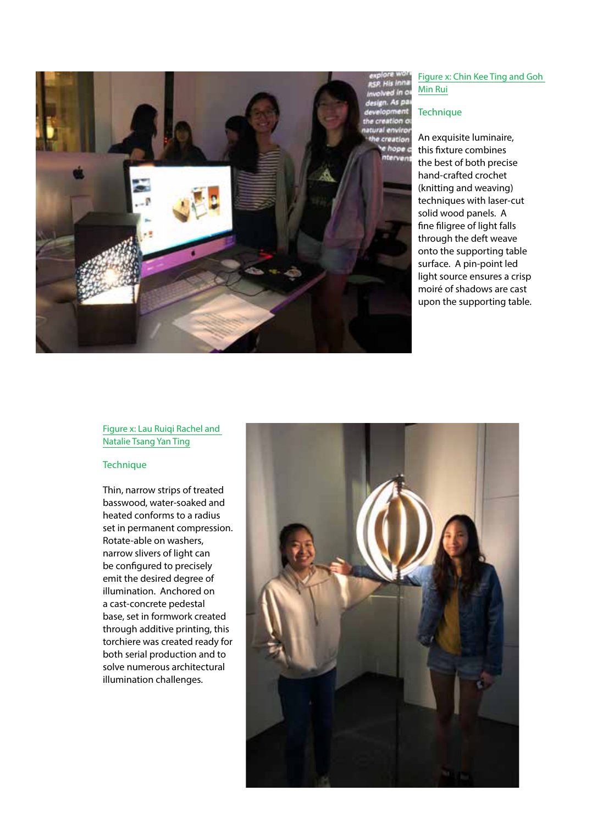

## Figure x: Chin Kee Ting and Goh Min Rui

#### **Technique**

An exquisite luminaire, this fixture combines the best of both precise hand-crafted crochet (knitting and weaving) techniques with laser-cut solid wood panels. A fine filigree of light falls through the deft weave onto the supporting table surface. A pin-point led light source ensures a crisp moiré of shadows are cast upon the supporting table.

# Figure x: Lau Ruiqi Rachel and Natalie Tsang Yan Ting

#### **Technique**

Thin, narrow strips of treated basswood, water-soaked and heated conforms to a radius set in permanent compression. Rotate-able on washers, narrow slivers of light can be configured to precisely emit the desired degree of illumination. Anchored on a cast-concrete pedestal base, set in formwork created through additive printing, this torchiere was created ready for both serial production and to solve numerous architectural illumination challenges.

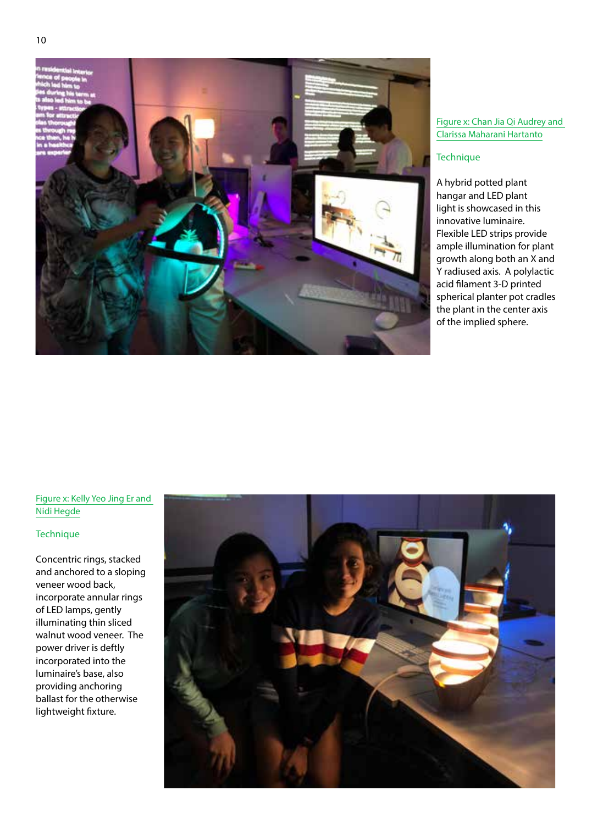

#### Figure x: Chan Jia Qi Audrey and Clarissa Maharani Hartanto

## **Technique**

A hybrid potted plant hangar and LED plant light is showcased in this innovative luminaire. Flexible LED strips provide ample illumination for plant growth along both an X and Y radiused axis. A polylactic acid filament 3-D printed spherical planter pot cradles the plant in the center axis of the implied sphere.

# Figure x: Kelly Yeo Jing Er and Nidi Hegde

# **Technique**

Concentric rings, stacked and anchored to a sloping veneer wood back, incorporate annular rings of LED lamps, gently illuminating thin sliced walnut wood veneer. The power driver is deftly incorporated into the luminaire's base, also providing anchoring ballast for the otherwise lightweight fixture.